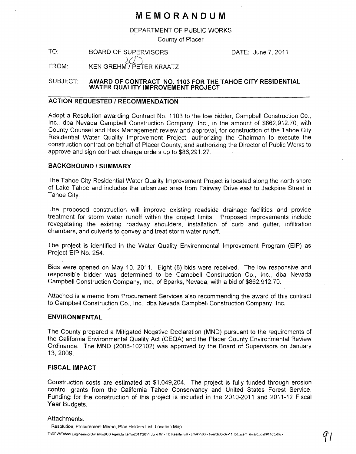## **MEMORANDUM**

DEPARTMENT OF PUBLIC WORKS

County of Placer

TO: FROM: BOARD OF SUPERVISORS  $\setminus$ KEN GREHM<sup>'</sup>/PETER KRAATZ

DATE: June 7,2011

SUBJECT: **AWARD OF CONTRACT NO. 1103 FOR THE TAHOE CITY RESIDENTIAL WATER QUALITY IMPROVEMENT PROJECT** 

#### **ACTION REQUESTED / RECOMMENDATION**

Adopt a Resolution awarding Contract No. 1103 to the low bidder, Campbell Construction Co., Inc., dba Nevada Campbell Construction Company, Inc., in the amount of \$862,912.70, with County Counsel and Risk Management review and approval, for construction of the Tahoe City Residential Water Quality Improvement Project, authorizing the Chairman to execute the construction contract on behalf of Placer County, and authorizing the Director of Public Works to approve and sign contract change orders up to \$86,291.27.

#### **BACKGROUND/SUMMARY**

The Tahoe City Residential Water Quality Improvement Project is located along the north shore of Lake Tahoe and includes the urbanized area from Fairway Drive east to Jackpine Street in Tahoe City.

The proposed construction will improve existing roadside drainage facilities and provide treatment for storm water runoff within the project limits. Proposed improvements include revegetating the existing roadway shoulders, installation of curb and gutter, infiltration chambers, and culverts to convey and treat storm water runoff.

The project is identified in the Water Quality Environmental Improvement Program (EIP) as Project EIP No. 254.

Bids were opened on May 10, 2011. Eight (8) bids were received. The low responsive and responsible bidder was determined to be Campbell Construction Co., Inc., dba Nevada Campbell Construction Company, Inc., of Sparks, Nevada, with a bid of \$862,912.70.

Attached is a memo from Procurement Services also recommending the award of this contract to Campbell Construction Co., Inc., dba Nevada Campbell Construction Company, Inc.

#### **ENVIRONMENTAL**

The County prepared a Mitigated Negative Declaration (MND) pursuant to the requirements of the California Environmental Quality Act (CEQA) and the Placer County Environmental Review Ordinance. The MND (2008-102102) was approved by the Board of Supervisors on January 13,2009.

#### **FISCAL IMPACT**

Construction costs are estimated at \$1,049,204. The project is fully funded through erosion control grants from the California Tahoe Conservancy and United States Forest Service. Funding for the construction of this project is included in the 2010-2011 and 2011-12 Fiscal Year Budgets.

#### Attachments:

Resolution; Procurement Memo; Plan Holders List; Location Map T:\DPW\Tahoe Engineering Division\BOS Agenda Items\2011\2011 June 07 - TC Residential - cntr#1103 - award\06-07-11\_bd\_mem\_award\_cntr#1103.docx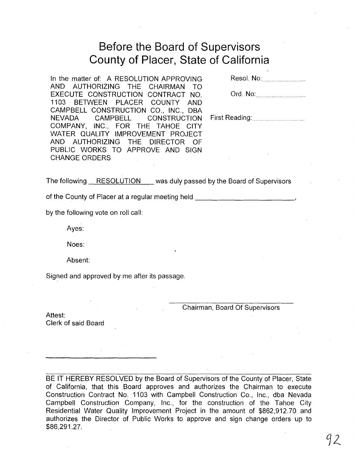# **Before** the Board **of Supervisors County of Placer, State of California**

In the matter of: A RESOLUTION APPROVING AND AUTHORIZING THE CHAIRMAN TO EXECUTE CONSTRUCTION CONTRACT NO. 1103 BETWEEN PLACER COUNTY AND CAMPBELL CONSTRUCTION CO., INC., DBA NEVADA CAMPBELL CONSTRUCTION COMPANY, INC., FOR THE TAHOE CITY WATER QUALITY IMPROVEMENT PROJECT AND AUTHORIZING THE DIRECTOR OF PUBLIC WORKS TO APPROVE AND SIGN CHANGE ORDERS

Resol. No:.

Ord. No: ................... .

First Reading: ....................... .

The following RESOLUTION was duly passed by the Board of Supervisors

of the County of Placer at a regular meeting held \_\_\_\_\_\_\_\_\_\_\_\_\_\_\_\_\_\_\_\_\_\_\_\_\_\_\_\_\_\_\_

by the following vote on roll call:

Ayes:

Noes:

Absent:

Signed and approved by me after its passage.

Chairman, Board Of Supervisors

Attest: Clerk of said Board

BE IT HEREBY RESOLVED by the Board of Supervisors of the County of Placer, State of California, that this Board approves and authorizes the Chairman to execute Construction Contract No. 1103 with Campbell Construction Co., Inc., dba Nevada Campbell Construction Company, Inc., for the construction of the Tahoe City Residential Water Quality Improvement Project in the amount of \$862,912.70 and authorizes the Director of Public Works to approve and sign change orders up to \$86,291.27.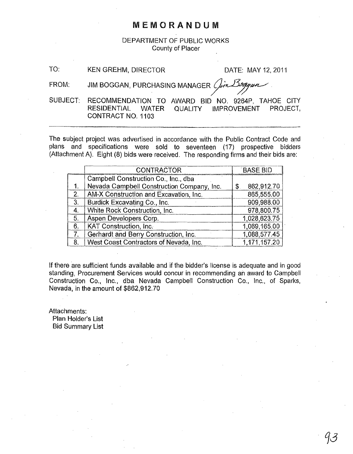### MEMORANDUM

DEPARTMENT OF PUBLIC WORKS County of Placer

TO: KEN GREHM, DIRECTOR DATE: MAY 12, 2011

FROM: JIM BOGGAN, PURCHASING MANAGER  $Q_{in}$ 1399441

SUBJECT: RECOMMENDATION TO AWARD BID NO. 9264P, TAHOE CITY RESIDENTIAL WATER QUALITY IMPROVEMENT PROJECT, CONTRACT NO. 1103

The subject project was advertised in accordance with the Public Contract Code and plans and specifications were sold to seventeen (17) prospective bidders

|    | <b>CONTRACTOR</b>                          | <b>BASE BID</b>  |
|----|--------------------------------------------|------------------|
|    | Campbell Construction Co., Inc., dba       |                  |
|    | Nevada Campbell Construction Company, Inc. | 862,912.70<br>\$ |
| 2. | AM-X Construction and Excavation, Inc.     | 865,555.00       |
| 3. | Burdick Excavating Co., Inc.               | 909,988.00       |
| 4. | White Rock Construction, Inc.              | 978,800.75       |
| 5. | Aspen Developers Corp.                     | 1,028,623.75     |
| 6. | KAT Construction, Inc.                     | 1,069,165.00     |
|    | Gerhardt and Berry Construction, Inc.      | 1,088,577.45     |
| 8. | West Coast Contractors of Nevada, Inc.     | 1,171,157.20     |

If there are sufficient funds available and if the bidder's license is adequate and in good standing, Procurement Services would concur in recommending an award to Campbell Construction Co., Inc., dba Nevada Campbell Construction Co., Inc., of Sparks, Nevada, in the amount of \$862,912.70

Attachments: Plan Holder's List Bid Summary List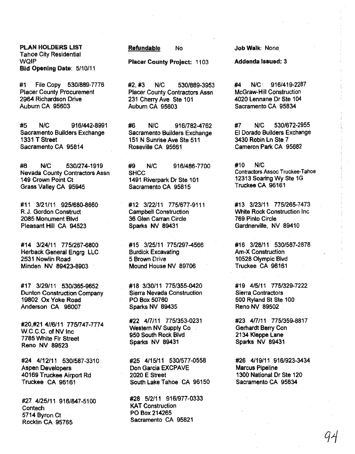PLAN HOLDERS LIST Tahoe City Residential WQIP Bid Opening Date: 5/10/11

#1 File Copy 530/889-7776 Placer County Procurement 2964 Richardson Drive . Auburn CA 95603

#5 NJC 916/442·8991 Sacramento Builders Exchange 1331 T Street Sacramento CA 95814

#8 NlC 530/274-1919 Nevada County Contractors Assn 149 Crown Point Ct Grass Valley CA 95945

#11 3/21/11 9251680-8660 R.J. Gordon Construct 2085 Monument Blvd Pleasant Hill CA 94523

#14 3/24/11 7751267-6800 Herback General Engrg LLC 2531 Nowlin Road Minden NV 89423-8903

#17 3/29/11 530/365-9652 Dunton Construction Company 19802 Ox Yoke Road Anderson CA 96007

#20,#21 4116/11 7751747-7774 W.C.C.C. of NV Inc 7785 White Fir Street Reno NV 89523

#24 4/12/11 530/587-3310 Aspen Developers 40169 Truckee Airport Rd Truckee CA 96161

#27 4/25/11 9161847-5100 **Contech** 5714 Byron Ct Rocklin CA 95765

Refundable No

Placer County Project: 1103

#2, #3 NJC 530/889-3953 Placer County Contractors Assn 231 Cherry Ave Ste 101 Auburn CA 95603

#e NlC 9161782-4762 Sacramento Builders Exchange 151 N Sunrise Ave Ste 511 Roseville CA 95661

#9 N/C 916/486~7700 **SHCC** 1491 Riverpark Dr Ste 101 Sacramento CA 95815

#12 3/22111 775/677-9111 Campbell Construction 36 Glen Carran Circle Sparks NV 89431

#15 3/25/11 775/297-4566 Burdick. Excavating 5 Brown Drive Mound House NV 89706

#18 3/30/11 7751355-0420 Sierra Nevada Construction PO Box 50760 Sparks NV 89435

#22 417/11 775/353-0231 Western NV Supply Co. 950 South Rock Blvd Sparks NV 89431

#25 4/15/11 530/577-0558 Don Garcia EXCPAVE 2020 E Street South lake Tahoe CA 96150

#28 5/2111 916/977-0333 KAT Construction PO Box 214265 Sacramento CA 95821

Job Walk: None.

Addenda issued: 3

#4 N/C 916/419-2287 McGraw-Hili Construction 4020 lennane Dr Ste 104 Sacramento CA 95834

#7 NlC 530/672-2955 EI Dorado Builders Exchange 3430 Robin In Ste 7 Cameron Park CA 95682

#10 N/C Contractors Assoc Truckee-Tahoe 12313 Soaring Wy Ste 1G Truckee CA 96161

#13 3/23/11 775/265-7473 White Rock Construction Inc 769 Pinto Circle Gardnerville, NV 89410

#16 3/28/11 530/587 -2878 Am-X Construction 10528 Olympic Blvd Truckee CA 96161

#19 4/5/11 775/329-7222 Sierra. Contractors 500 Ryland St Ste 100 Reno NV 89502 .

#23 417/11 775/359-8817 Gerhardt Berry Con 2134 Kleppe Lane Sparks NV 89431

#26 4/19/11 9161923-3434 Marcus Pipeline 1300 National Dr Ste 120 Sacramento CA 95834